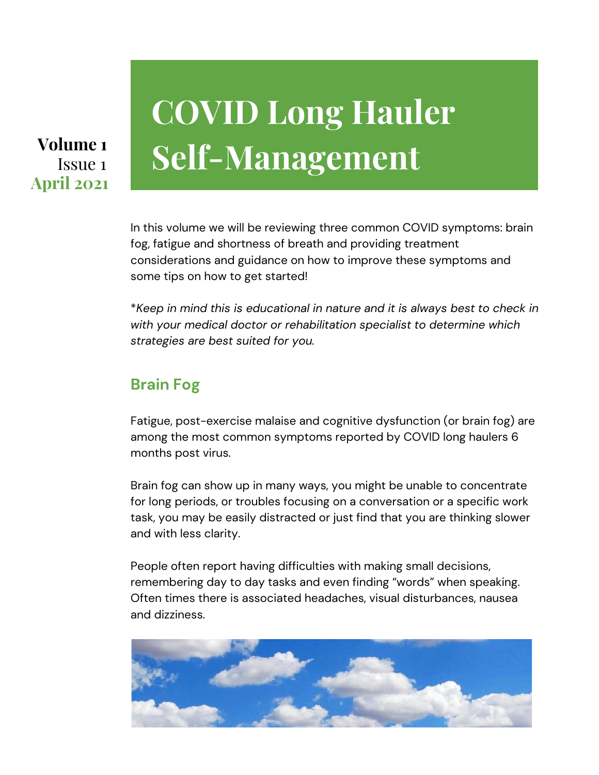## Issue 1 **April 2021**

# **COVID Long Hauler** Volume 1 **Self-Management**

In this volume we will be reviewing three common COVID symptoms: brain fog, fatigue and shortness of breath and providing treatment considerations and guidance on how to improve these symptoms and some tips on how to get started!

\**Keep in mind this is educational in nature and it is always best to check in with your medical doctor or rehabilitation specialist to determine which strategies are best suited for you.*

### **Brain Fog**

Fatigue, post-exercise malaise and cognitive dysfunction (or brain fog) are among the most common symptoms reported by COVID long haulers 6 months post virus.

Brain fog can show up in many ways, you might be unable to concentrate for long periods, or troubles focusing on a conversation or a specific work task, you may be easily distracted or just find that you are thinking slower and with less clarity.

People often report having difficulties with making small decisions, remembering day to day tasks and even finding "words" when speaking. Often times there is associated headaches, visual disturbances, nausea and dizziness.

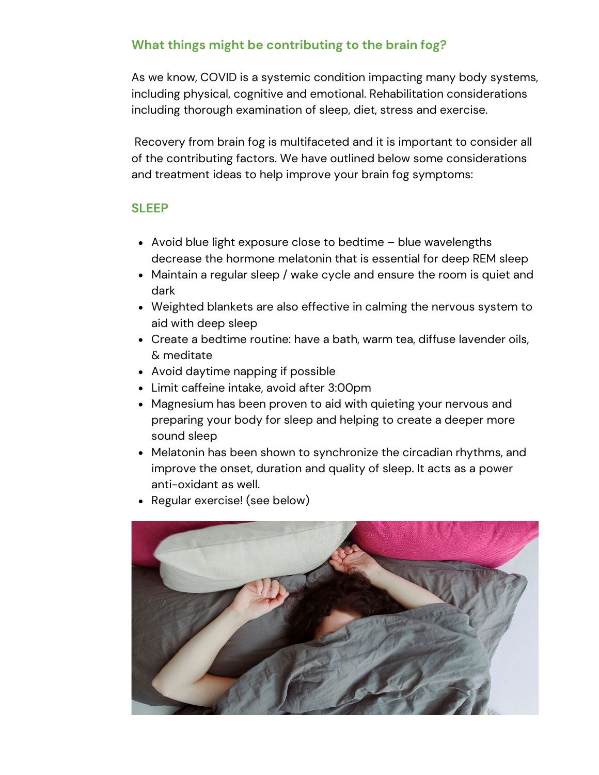#### **What things might be contributing to the brain fog?**

As we know, COVID is a systemic condition impacting many body systems, including physical, cognitive and emotional. Rehabilitation considerations including thorough examination of sleep, diet, stress and exercise.

 Recovery from brain fog is multifaceted and it is important to consider all of the contributing factors. We have outlined below some considerations and treatment ideas to help improve your brain fog symptoms:

#### **SLEEP**

- Avoid blue light exposure close to bedtime blue wavelengths decrease the hormone melatonin that is essential for deep REM sleep
- Maintain a regular sleep / wake cycle and ensure the room is quiet and dark
- Weighted blankets are also effective in calming the nervous system to aid with deep sleep
- Create a bedtime routine: have a bath, warm tea, diffuse lavender oils, & meditate
- Avoid daytime napping if possible
- Limit caffeine intake, avoid after 3:00pm
- Magnesium has been proven to aid with quieting your nervous and preparing your body for sleep and helping to create a deeper more sound sleep
- Melatonin has been shown to synchronize the circadian rhythms, and improve the onset, duration and quality of sleep. It acts as a power anti-oxidant as well.
- Regular exercise! (see below)

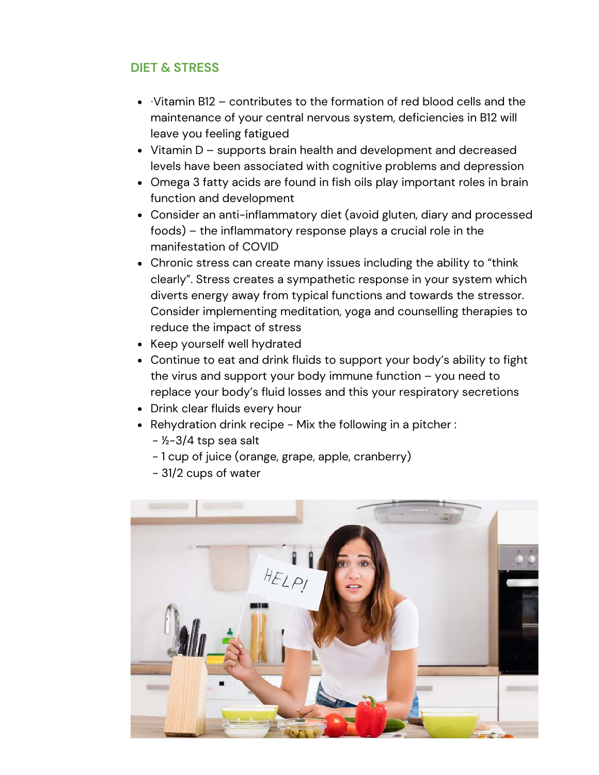#### **DIET & STRESS**

- **·**Vitamin B12 contributes to the formation of red blood cells and the maintenance of your central nervous system, deficiencies in B12 will leave you feeling fatigued
- Vitamin D supports brain health and development and decreased levels have been associated with cognitive problems and depression
- Omega 3 fatty acids are found in fish oils play important roles in brain function and development
- Consider an anti-inflammatory diet (avoid gluten, diary and processed foods) – the inflammatory response plays a crucial role in the manifestation of COVID
- Chronic stress can create many issues including the ability to "think clearly". Stress creates a sympathetic response in your system which diverts energy away from typical functions and towards the stressor. Consider implementing meditation, yoga and counselling therapies to reduce the impact of stress
- Keep yourself well hydrated
- Continue to eat and drink fluids to support your body's ability to fight the virus and support your body immune function – you need to replace your body's fluid losses and this your respiratory secretions
- Drink clear fluids every hour
- Rehydration drink recipe Mix the following in a pitcher :
	- $-$  ½-3/4 tsp sea salt
	- 1 cup of juice (orange, grape, apple, cranberry)
	- 31/2 cups of water

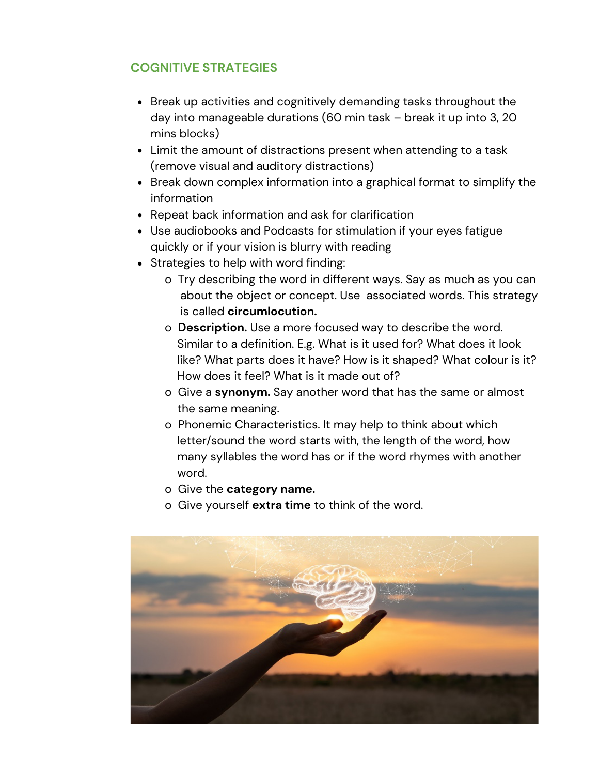#### **COGNITIVE STRATEGIES**

- Break up activities and cognitively demanding tasks throughout the day into manageable durations (60 min task – break it up into 3, 20 mins blocks)
- Limit the amount of distractions present when attending to a task (remove visual and auditory distractions)
- Break down complex information into a graphical format to simplify the information
- Repeat back information and ask for clarification
- Use audiobooks and Podcasts for stimulation if your eyes fatigue quickly or if your vision is blurry with reading
- Strategies to help with word finding:
	- o Try describing the word in different ways. Say as much as you can about the object or concept. Use associated words. This strategy is called **circumlocution.**
	- o **Description.** Use a more focused way to describe the word. Similar to a definition. E.g. What is it used for? What does it look like? What parts does it have? How is it shaped? What colour is it? How does it feel? What is it made out of?
	- o Give a **synonym.** Say another word that has the same or almost the same meaning.
	- o Phonemic Characteristics. It may help to think about which letter/sound the word starts with, the length of the word, how many syllables the word has or if the word rhymes with another word.
	- o Give the **category name.**
	- o Give yourself **extra time** to think of the word.

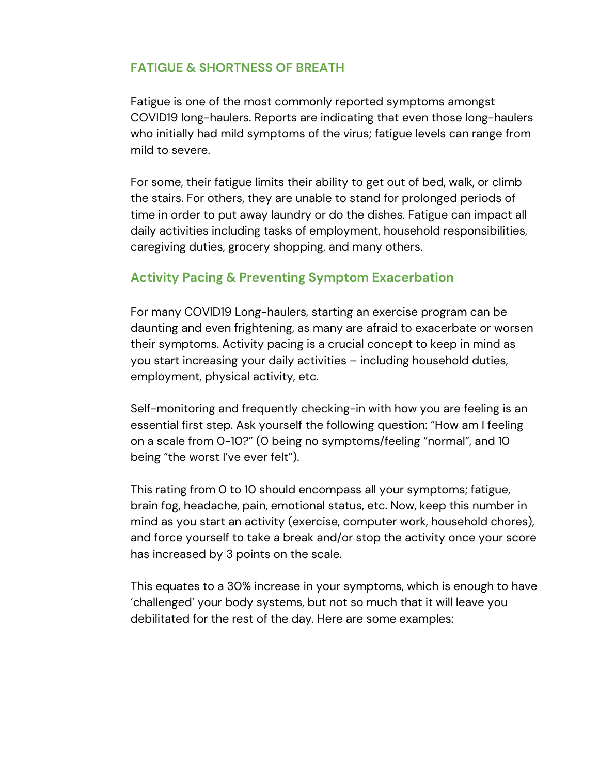#### **FATIGUE & SHORTNESS OF BREATH**

Fatigue is one of the most commonly reported symptoms amongst COVID19 long-haulers. Reports are indicating that even those long-haulers who initially had mild symptoms of the virus; fatigue levels can range from mild to severe.

For some, their fatigue limits their ability to get out of bed, walk, or climb the stairs. For others, they are unable to stand for prolonged periods of time in order to put away laundry or do the dishes. Fatigue can impact all daily activities including tasks of employment, household responsibilities, caregiving duties, grocery shopping, and many others.

#### **Activity Pacing & Preventing Symptom Exacerbation**

For many COVID19 Long-haulers, starting an exercise program can be daunting and even frightening, as many are afraid to exacerbate or worsen their symptoms. Activity pacing is a crucial concept to keep in mind as you start increasing your daily activities – including household duties, employment, physical activity, etc.

Self-monitoring and frequently checking-in with how you are feeling is an essential first step. Ask yourself the following question: "How am I feeling on a scale from 0-10?" (0 being no symptoms/feeling "normal", and 10 being "the worst I've ever felt").

This rating from 0 to 10 should encompass all your symptoms; fatigue, brain fog, headache, pain, emotional status, etc. Now, keep this number in mind as you start an activity (exercise, computer work, household chores), and force yourself to take a break and/or stop the activity once your score has increased by 3 points on the scale.

This equates to a 30% increase in your symptoms, which is enough to have 'challenged' your body systems, but not so much that it will leave you debilitated for the rest of the day. Here are some examples: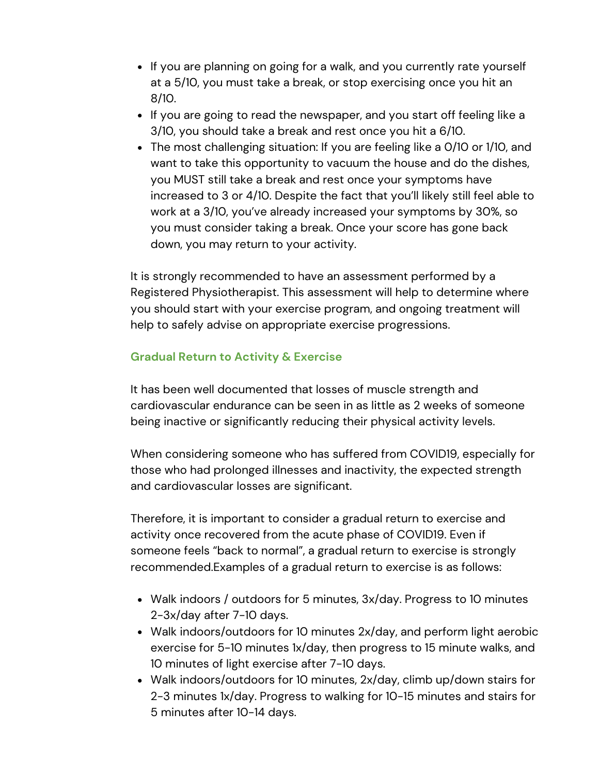- If you are planning on going for a walk, and you currently rate yourself at a 5/10, you must take a break, or stop exercising once you hit an 8/10.
- If you are going to read the newspaper, and you start off feeling like a 3/10, you should take a break and rest once you hit a 6/10.
- The most challenging situation: If you are feeling like a 0/10 or 1/10, and want to take this opportunity to vacuum the house and do the dishes, you MUST still take a break and rest once your symptoms have increased to 3 or 4/10. Despite the fact that you'll likely still feel able to work at a 3/10, you've already increased your symptoms by 30%, so you must consider taking a break. Once your score has gone back down, you may return to your activity.

It is strongly recommended to have an assessment performed by a Registered Physiotherapist. This assessment will help to determine where you should start with your exercise program, and ongoing treatment will help to safely advise on appropriate exercise progressions.

#### **Gradual Return to Activity & Exercise**

It has been well documented that losses of muscle strength and cardiovascular endurance can be seen in as little as 2 weeks of someone being inactive or significantly reducing their physical activity levels.

When considering someone who has suffered from COVID19, especially for those who had prolonged illnesses and inactivity, the expected strength and cardiovascular losses are significant.

Therefore, it is important to consider a gradual return to exercise and activity once recovered from the acute phase of COVID19. Even if someone feels "back to normal", a gradual return to exercise is strongly recommended.Examples of a gradual return to exercise is as follows:

- Walk indoors / outdoors for 5 minutes, 3x/day. Progress to 10 minutes 2-3x/day after 7-10 days.
- Walk indoors/outdoors for 10 minutes 2x/day, and perform light aerobic exercise for 5-10 minutes 1x/day, then progress to 15 minute walks, and 10 minutes of light exercise after 7-10 days.
- Walk indoors/outdoors for 10 minutes, 2x/day, climb up/down stairs for 2-3 minutes 1x/day. Progress to walking for 10-15 minutes and stairs for 5 minutes after 10-14 days.